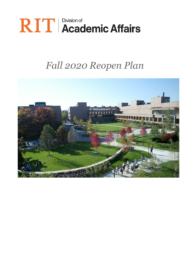# **RIT** | Division of<br> **RIT** | Academic Affairs

## *Fall 2020 Reopen Plan*

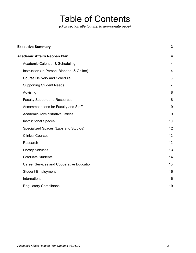### Table of Contents

*(click section title to jump to appropriate page)*

| <b>Executive Summary</b>                         |                |
|--------------------------------------------------|----------------|
| <b>Academic Affairs Reopen Plan</b>              | 4              |
| Academic Calendar & Scheduling                   | $\overline{4}$ |
| Instruction (In-Person, Blended, & Online)       | $\overline{4}$ |
| <b>Course Delivery and Schedule</b>              | 6              |
| <b>Supporting Student Needs</b>                  | $\overline{7}$ |
| Advising                                         | 8              |
| <b>Faculty Support and Resources</b>             | 8              |
| Accommodations for Faculty and Staff             | 9              |
| <b>Academic Administrative Offices</b>           | 9              |
| <b>Instructional Spaces</b>                      | 10             |
| Specialized Spaces (Labs and Studios)            | 12             |
| <b>Clinical Courses</b>                          | 12             |
| Research                                         | 12             |
| <b>Library Services</b>                          | 13             |
| <b>Graduate Students</b>                         | 14             |
| <b>Career Services and Cooperative Education</b> | 15             |
| <b>Student Employment</b>                        | 16             |
| International                                    | 16             |
| <b>Regulatory Compliance</b>                     | 19             |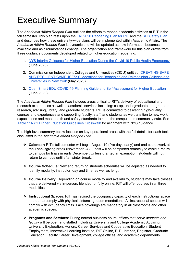### <span id="page-2-0"></span>Executive Summary

The *Academic Affairs Reopen Plan* outlines the efforts to reopen academic activities at RIT in the fall semester. This plan rests upon the Fall 2020 [Reopening](https://www.rit.edu/ready/sites/rit.edu.ready/files/docs/RIT-Fall-2020-reopening-plan-072120.pdf) Plan for RIT and the RIT [Safety](https://www.rit.edu/ready/rit-safety-plan) Plan and describes how these university-wide plans will be implemented within Academic Affairs. The *Academic Affairs Reopen Pla*n is dynamic and will be updated as new information becomes available and as circumstances change. The organization and framework for this plan draws from three guidance documents developed related to higher education reopening:

- 1. NYS Interim Guidance for Higher Education During the Covid-19 Public Health [Emergency](https://www.governor.ny.gov/sites/governor.ny.gov/files/atoms/files/Higher_Education_Detailed_Guidelines.pdf) (June 2020)
- 2. Commission on Independent Colleges and Universities (CICU) entitled, [CREATING](https://cicu.org/application/files/1115/8981/5082/NY_State_-_Reopen_Considerations_and_Suggestions_for_Higher_Education_-_Final_May_15_2020_v2.pdf) SAFE AND RESILIENT [CAMPUSES:](https://cicu.org/application/files/1115/8981/5082/NY_State_-_Reopen_Considerations_and_Suggestions_for_Higher_Education_-_Final_May_15_2020_v2.pdf) Suggestions for Reopening and Reimagining Colleges and [Universities](https://cicu.org/application/files/1115/8981/5082/NY_State_-_Reopen_Considerations_and_Suggestions_for_Higher_Education_-_Final_May_15_2020_v2.pdf) in New York (May 2020)
- 3. Open Smart-EDU COVID-19 Planning Guide and [Self-Assessment](https://www.opensmartedu.org/covid-19-planning-guide-for-higher-education/) for Higher Education (June 2020)

The *Academic Affairs Reopen Plan* includes areas critical to RIT's delivery of educational and research experiences as well as academic services including: co-op, undergraduate and graduate research, advising, library, and graduate students. RIT is committed to delivering high-quality courses and experiences and supporting faculty, staff, and students as we transition to new work expectations and meet health and safety standards to keep the campus and community safe. See Table 1: NYS Higher Education [Guidelines](#page-19-0) Crosswalk for alignment with NYS guidance.

The high-level summary below focuses on key operational areas with the full details for each topic discussed in the *Academic Affairs Reopen Plan*.

- ❖ **Calendar:** RIT's fall semester will begin August 19 (five days early) and end coursework at the Thanksgiving break (November 24). Finals will be completed remotely to avoid a return to campus for finals in early December. Unless granted an exemption, students will not return to campus until after winter break.
- ❖ **Course Schedule:** New and returning students schedules will be adjusted as needed to identify modality, instructor, day and time, as well as length.
- ❖ **Course Delivery**: Depending on course modality and availability, students may take classes that are delivered via in-person, blended, or fully online. RIT will offer courses in all three modalities.
- ❖ **Instructional Spaces**: RIT has revised the occupancy capacity of each instructional space in order to comply with physical distancing recommendations. All instructional spaces will comply with occupancy limits. Face coverings are mandatory in all classrooms and other academic spaces.
- ❖ **Programs and Services**: During normal business hours, offices that serve *students and faculty* will be open and staffed including: University and College Academic Advising, University Exploration, Honors, Career Services and Cooperative Education, Student Employment, Innovative Learning Institute, RIT Online, RIT Libraries, Registrar, Graduate Education, Faculty Career Development, college offices, and academic departments.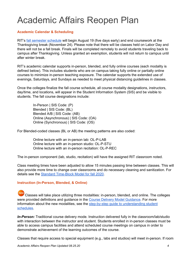### <span id="page-3-0"></span>Academic Affairs Reopen Plan

#### <span id="page-3-3"></span><span id="page-3-1"></span>**Academic Calendar & Scheduling**

RIT's fall [semester](https://www.rit.edu/calendar) schedule will begin August 19 (five days early) and end coursework at the Thanksgiving break (November 24). Please note that there will be classes held on Labor Day and there will not be a fall break. Finals will be completed remotely to avoid students traveling back to campus after Thanksgiving. Unless granted an exemption, students will not return to campus until after winter break.

RIT's academic calendar supports in-person, blended, and fully online courses (each modality is defined below). This includes students who are on campus taking fully online or partially online courses to minimize in-person teaching exposure. The calendar supports the extended use of evenings, Saturdays, and Sundays as needed to meet physical distancing guidelines in classes.

Once the colleges finalize the fall course schedule, all course modality designations, instructors, day/time, and locations, will appear in the Student Information System (SIS) and be visible to students. The fall course designations include:

> In-Person | SIS Code: (P) Blended | SIS Code: (BL) Blended A/B | SIS Code: (AB) Online (Asynchronous) | SIS Code: (OA) Online (Synchronous) | SIS Code: (OS)

For Blended-coded classes (BL or AB) the meeting patterns are also coded:

Online lecture with an in-person lab: OL-P-LAB Online lecture with an in-person studio: OL-P-STU Online lecture with an in-person recitation: OL-P-REC

The in-person component (lab, studio, recitation) will have the assigned RIT classroom noted.

Class meeting times have been adjusted to allow 15 minutes passing time between classes. This will also provide more time to change over classrooms and do necessary cleaning and sanitization. For details see the Standard [Time-Block](https://drive.google.com/file/d/18VlNYdn5vv706JhCvV9u0u1CfKzd0mhk/view?usp=sharing) Model for fall 2020.

#### <span id="page-3-2"></span>**Instruction (In-Person, Blended, & Online)**

Classes will take place utilizing three modalities: in-person, blended, and online. The colleges were provided definitions and guidance in the Course Delivery Model [Guidance.](https://drive.google.com/file/d/1WkqAjecN5jFU4LVrwais6GxX1oyfbh84/view?usp=sharing) For more information about the new modalities, see the step-by-step guide to [understanding](https://www.rit.edu/news/rit-student-schedules-step-step-guide?utm_source=message-center&utm_medium=email&utm_campaign=mc-ritready) student [schedules.](https://www.rit.edu/news/rit-student-schedules-step-step-guide?utm_source=message-center&utm_medium=email&utm_campaign=mc-ritready)

*In-Person:* Traditional course delivery mode. Instruction delivered fully in the classroom/lab/studio with interaction between the instructor and student. Students enrolled in in-person classes must be able to access campus facilities and attend scheduled course meetings on campus in order to demonstrate achievement of the learning outcomes of the course.

Classes that require access to special equipment (e.g., labs and studios) will meet in-person. If room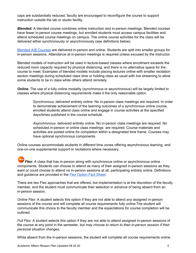caps are substantially reduced, faculty are encouraged to reconfigure the course to support instruction outside the lab or studio facility.

*Blended:* A blended course combines online instruction and in-person meetings. Blended courses have fewer in-person course meetings, but enrolled students must access campus facilities and attend scheduled course meetings on campus. The online course activities for the class will be delivered either synchronously or asynchronously (see definitions below).

Blended A/B [Courses](https://drive.google.com/file/d/1B4ZZVebcogTBeCM2IU4wla3X6V7vage4/view?usp=sharing) are delivered in-person and online. Students are split into smaller groups for in-person sessions. Attendance at in-person meetings is required unless excused by the instructor.

Blended models of instruction will be used in lecture-based classes where enrollment exceeds the reduced room capacity required by physical distancing, and there is no alternative space for the course to meet. Examples of blended models include placing lectures online with smaller recitation section meetings during scheduled class time or holding class as usual with live streaming to allow some students to be in class while others attend remotely.

*Online:* The use of a fully online modality (synchronous or asynchronous) will be largely limited to classes where physical distancing requirements make it the only reasonable option.

> S*ynchronous:* delivered entirely online. No in-person class meetings are required. In order to demonstrate achievement of the learning outcomes of a synchronous online course, enrolled students attend class online and engage in course activities at the specified days/times published in the course schedule.

*Asynchronous:* delivered entirely online. No in-person class meetings are required. No scheduled in-person or online class meetings are required. Course materials and activities are posted online for completion within a designated time frame. Courses may have optional synchronous components.

Online courses accommodate students in different time zones offering asynchronous learning, and one-on-one supplemental support or recitations where necessary.

**Flex:** A class that has in-person along with synchronous online or asynchronous online components. Students can choose to attend as many of their assigned in-person sessions as they want or could choose to attend no in-person sessions at all, participating entirely online. Definitions and guidance are provided in the Flex [Option](https://drive.google.com/file/d/1G6SLe8HMpOWmXIvbRspu2SSpe1lG5Rw4/view?usp=sharing) Fact Sheet.

There are two Flex approaches that are offered, but implementation is at the discretion of the faculty member, and the student must communicate their selection in advance of being absent from an in-person session.

*Online Flex*: A student selects this option if they are not able to attend *any* assigned in-person sessions of the course and will complete all course requirements *fully online.*The student will communicate this choice to the faculty member and the expectations for course completion will be outlined

*Full Flex:* A student selects this option if they are not able to attend assigned in-person sessions of the course at any point in the semester, but *may choose to return to their in-person session if their personal situation changes.*

While absent from the in-person sessions, the student will complete all course requirements online.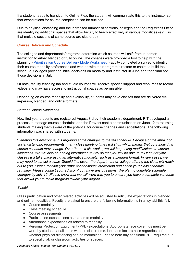If a student needs to transition to Online Flex, the student will communicate this to the instructor so that expectations for course completion can be outlined.

Due to physical distancing and the increased number of sections, colleges and the Registrar's Office are identifying additional spaces that allow faculty to teach effectively in various modalities (e.g., so that multiple sections of same course are clustered).

#### <span id="page-5-0"></span>**Course Delivery and Schedule**

The colleges and departments/programs determine which courses will shift from in-person instruction to either blended or fully online. The colleges were provided a tool to help with the planning - [Prioritization](https://drive.google.com/file/d/1EIt0qQes0yX57ZXRMU-y5baGKsbzUzeo/view?usp=sharing) Course Delivery Mode Worksheet. Faculty completed a survey to identify their course modality preferences and worked with their program directors or chairs to build the schedule. Colleges provided initial decisions on modality and instructor in June and then finalized those decisions in July.

Of note, faculty teaching lab and studio courses will receive specific support and resources to record videos and may have access to instructional spaces as permissible.

Depending on course modality and availability, students may have classes that are delivered via in-person, blended, and online formats.

#### *Student Course Schedules*

New first year students are registered August 3rd by their academic department. RIT developed a process to manage course schedules and the Provost sent a communication on June 12 to returning students making them aware of the potential for course changes and cancellations. The following information was shared with students:

"*Creating this environment is requiring some changes to the fall schedule. Because of the impact of social distancing requirements, many class meeting times will shift, which means that your individual course schedule may change. Over the next six weeks, we will be posting modifications to course* schedules. We will also be adding information to SIS so that you will be able to tell if any of your *classes will take place using an alternative modality, such as a blended format. In rare cases, we* may need to cancel a class. Should this occur, the department or college offering the class will reach *out to you. Please monitor your email for additional information and check your class schedule regularly. Please contact your advisor if you have any questions. We plan to complete schedule* changes by July 15. Please know that we will work with you to ensure you have a complete schedule *that allows you to make progress toward your degree.*"

#### *Syllabi*

Class participation and other related activities will be adjusted to articulate expectations in blended and online modalities. Faculty are asked to ensure the following information is in all syllabi this fall:

- Course modality
- Class meeting schedule
- Course assessments
- Participation expectations as related to modality
- Attendance expectations as related to modality
- Personal Protection Equipment (PPE) expectations: Appropriate face coverings must be worn by students at all times when in classrooms, labs, and lecture halls regardless of whether physical distancing can be maintained. Please note any additional PPE required due to specific lab or classroom activities or spaces.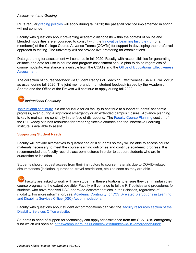#### *Assessment and Grading*

RIT's regular [grading](https://www.rit.edu/academicaffairs/policiesmanual/d050) policies will apply during fall 2020; the pass/fail practice implemented in spring will not continue.

Faculty with questions about preventing academic dishonesty within the context of online and blended modalities are encouraged to consult with the [Innovative](https://www.rit.edu/ready/faculty-support) Learning Institute (ILI) or a member(s) of the College Course Advance Teams (CCATs) for support in developing their preferred approach to testing. The university will not provide live proctoring for examinations.

Data gathering for assessment will continue in fall 2020. Faculty with responsibilities for generating artifacts and data for use in course and program assessment should plan to do so regardless of course modality. Assistance is available from the CCATs and the Office of Educational [Effectiveness](https://www.rit.edu/academicaffairs/outcomes/) [Assessment.](https://www.rit.edu/academicaffairs/outcomes/)

The collection of course feedback via Student Ratings of Teaching Effectiveness (SRATE) will occur as usual during fall 2020. The joint memorandum on student feedback issued by the Academic Senate and the Office of the Provost will continue to apply during fall 2020.

#### new *Instructional Continuity*

[Instructional](https://www.rit.edu/academicaffairs/tls/course-design/teaching-elements/continuity-instruction) continuity is a critical issue for all faculty to continue to support students' academic progress, even during a significant emergency or an extended campus closure. Advance planning is k[e](https://www.rit.edu/ready/faculty-course-planning)y to maintaining continuity in the face of disruptions. The **Faculty Course [Planning](https://www.rit.edu/ready/faculty-course-planning)** section of the RIT Ready site has resources for preparing flexible courses and the Innovative Learning Institute is available to assist.

#### <span id="page-6-0"></span>**Supporting Student Needs**

Faculty will provide alternatives to quarantined or ill students so they will be able to access course materials necessary to meet the course learning outcomes and continue academic progress. It is recommended that faculty record classroom lectures in order to support students who are in quarantine or isolation.

Students should request access from their instructors to course materials due to COVID-related circumstances (isolation, quarantine, travel restrictions, etc.) as soon as they are able.

Faculty are asked to work with any student in these situations to ensure they can maintain their course progress to the extent possible. Faculty will continue to follow RIT policies and procedures for students who have received DSO-approved accommodations in their classes, regardless of modality. For more information, see: Academic Continuity for [COVID-related](https://www.rit.edu/provost/sites/rit.edu.provost/files/communications/RIT_Academic_Continuity_for_COVID_Related_Disruptions_and_DSO_Accomodations_v7.pdf) Disruptions in Learning and Disability Services Office (DSO) [Accommodations](https://www.rit.edu/provost/sites/rit.edu.provost/files/communications/RIT_Academic_Continuity_for_COVID_Related_Disruptions_and_DSO_Accomodations_v7.pdf).

Faculty with questions about student accommodations can visit the faculty [resources](https://www.rit.edu/disabilityservices/faculty-resources) section of the [Disability](https://www.rit.edu/disabilityservices/faculty-resources) Services Office website.

Students in need of support for technology can apply for assistance from the COVID-19 emergency fund which will open at: <https://campusgroups.rit.edu/covid19fund/covid-19-emergency-fund/>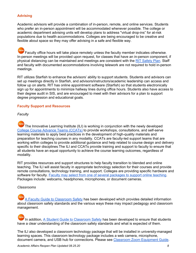#### <span id="page-7-0"></span>**Advising**

Academic advisors will provide a combination of in-person, remote, and online services. Students who prefer an in-person appointment will be accommodated whenever possible. The college or academic department advising units will develop plans to address "virtual drop-ins" for at-risk populations due to health accommodations. Colleges are being encouraged to be creative and flexible about space so they may offer advising in a safe and flexible way.

new Faculty office hours will take place remotely unless the faculty member indicates otherwise. In-person meetings will be provided upon request, for classes that have an in-person component, if physical distancing can be maintained and meetings are consistent with the RIT [Safety](https://www.rit.edu/ready/rit-safety-plan) Plan. Staff and faculty with documented accommodations involving telework are not required to hold in-person meetings.

RIT utilizes Starfish to enhance the advisors' ability to support students. Students and advisors can set up meetings directly in Starfish, and advisors/instructors/academic leadership can access and follow up on alerts. RIT has online appointment software (Starfish) so that students electronically sign up for appointments to minimize hallway lines during office hours. Students also have access to their degree audit in SIS, and are encouraged to meet with their advisors for a plan to support degree progression and educational goals.

#### <span id="page-7-1"></span>**Faculty Support and Resources**

#### *Faculty*

new The Innovative Learning Institute (ILI) is working in conjunction with the newly developed College Course [Advance](https://wiki.rit.edu/display/CollegeCATS) Teams (CCATs) to provide workshops, consultations, and self-serve learning materials to apply best practices in the development of high-quality materials and preparation for teaching courses in any modality. CCATs are faculty-led support teams that are working within colleges to provide additional guidance and help related to course design and delivery specific to their disciplines. The ILI and CCATs provide training and support to faculty to ensure that all students have an equal opportunity to achieve the course learning outcomes, regardless of modality.

RIT provides resources and support structures to help faculty transition to blended and online teaching. The ILI will assist faculty in appropriate technology selection for their courses and provide remote consultations, technology training, and support. Colleges are providing specific hardware and software for faculty. Faculty may select from one of several [packages](https://drive.google.com/file/d/19zPqRYjHqchfSao1d_DEBytfIxR700DF/view?usp=sharing) to support online teaching. Packages include: webcams, headphones, microphones, or document cameras.

#### *Classrooms*

A Faculty Guide to [Classroom](https://drive.google.com/file/d/1DIZBeN5Can7DbV_5n4BG9UMSkWDzQjCd/view?usp=sharing) Safety has been developed which provides detailed information about classroom safety standards and the various ways these may impact pedagogy and classroom management.

 $n$ ev In addition, A Student Guide to [Classroom](https://www.rit.edu/provost/sites/rit.edu.provost/files/communications/RIT_Student_Guide_to_Classroom_Safety_V_5.0.pdf) Safety has been developed to ensure that students have a clear understanding of the classroom safety standards and what is expected of them.

The ILI also developed a classroom technology package that will be installed in university-managed learning spaces. This classroom technology package includes a web camera, microphone, document camera, and USB hub for connections. Please see Classroom Zoom [Equipment](https://drive.google.com/file/d/1-dJDmV9GI__niDQXrJ2cv7F4ii5agf9o/view?usp=sharing) Guide.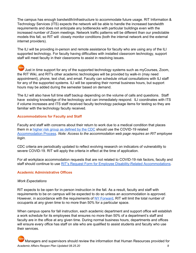The campus has enough bandwidth/infrastructure to accommodate future usage. RIT Information & Technology Services (ITS) expects the network will be able to handle the increased bandwidth requirements and does not anticipate any bottlenecks with particular buildings even with the increased number of Zoom meetings. Network traffic patterns will be different than our predictable models this fall, so RIT will closely monitor conditions (both the internal network and the external internet providers).

The ILI will be providing in-person and remote assistance for faculty who are using any of the ILI supported technology. For faculty having difficulties with installed classroom technology, support staff will meet faculty in their classrooms to assist in resolving issues.

new Just in time support for any of the supported technology systems such as myCourses, Zoom, the RIT Wiki, and RIT's other academic technologies will be provided by walk-in (may need appointment), phone, text chat, and email. Faculty can schedule virtual consultations with ILI staff for any of the supported systems. ILI will be operating their normal business hours, but support hours may be added during the semester based on demand.

The ILI will also have full time staff backup depending on the volume of calls and questions. Staff have existing knowledge of the technology and can immediately respond. ILI coordinates with ITS if volume increases and ITS staff received faculty technology package items for testing so they are familiar with the technology faculty received.

#### <span id="page-8-0"></span>**Accommodations for Faculty and Staff**

Faculty and staff with concerns about their return to work due to a medical condition that places them in a higher risk group as [defined](https://www.cdc.gov/coronavirus/2019-ncov/need-extra-precautions/people-at-increased-risk.html) by the CDC should use the COVID-19 related [Accommodation](https://cm.maxient.com/reportingform.php?RochesterInstofTech&layout_id=65) Process. *Note: Access to the accommodation web page requires an RIT employee login.*

CDC criteria are periodically updated to reflect evolving research on indicators of vulnerability to severe COVID-19. RIT will apply the criteria in effect at the time of application.

For all workplace accommodation requests that are not related to COVID-19 risk factors, faculty and staff should continue to use RIT's Request Form for Employee [Disability-Related](https://www.rit.edu/fa/humanresources/sites/rit.edu.fa.humanresources/files/docs/disabilityaccommodations.pdf) Accommodations.

#### <span id="page-8-1"></span>**Academic Administrative Offices**

#### *Work Expectations*

RIT expects to be open for in-person instruction in the fall. As a result, faculty and staff with requirements to be on campus will be expected to do so unless an accommodation is approved. However, in accordance with the requirements of NY [Forward,](https://forward.ny.gov/) RIT will limit the total number of occupants at any given time to no more than 50% for a particular space.

When campus opens for fall instruction, each academic department and support office will establish a work schedule for its employees that ensures no more than 50% of a department's staff and faculty are in the office at any given time. During normal business hours, departments and offices will ensure every office has staff on site who are qualified to assist students and faculty who use their services.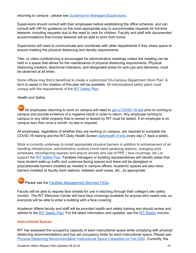returning to campus - please see Guidance for [Managers/Supervisors.](https://drive.google.com/file/d/1LZZOtSygvnzEr2ZDxS_IuT8epHInaqeL/view?usp=sharing)

Supervisors should consult with their employees before establishing the office schedule. and can consult with HR for guidance on the most appropriate way to accommodate requests for full-time telework, including requests due to the need to care for children. Faculty and staff with documented accommodations that involve telework will be able to work from home.

Supervisors will need to communicate and coordinate with other departments if they share space to ensure meeting the physical distancing and density requirements.

Tele- or video-conferencing is encouraged for administrative meetings unless the meeting can be held in a space that allows for the maintenance of physical distancing requirements. Physical distancing markers, directional indicators, and designated areas for pick-ups and deliveries, must be observed at all times.

Some offices may find it beneficial to create a customized On-Campus Department Work Plan. A form to assist in the creation of this plan will be available. All individualized safety plans must comply with the requirements of the RIT [Safety](https://www.rit.edu/ready/rit-safety-plan) Plan.

#### *Health and Safety*

All employees returning to work on campus will need to get a [COVID-19](https://www.rit.edu/ready/faqs-for-employees) test prior to coming to campus and provide evidence of a negative result in order to return. Any employee coming to campus or any other property that is owned or leased by RIT must be tested. If an employee is on campus *less than once a month*, no test is required.

All employees, regardless of whether they are working on campus, are required to complete the COVID-19 training and the RIT Daily Health Screen [dailyhealth.rit.edu](https://dailyhealth.rit.edu/) every day (7 days a week).

Work is currently underway to install appropriate physical barriers in addition to enhancement of air handling infrastructure, administrative controls (more hand sanitizing stations, changing work schedules, reconfiguring spaces) and ensure access and use of PPE ( face coverings, etc.) to support the RIT [Safety](https://www.rit.edu/ready/rit-safety-plan) Plan. Facilities managers or building representatives will identify areas that have student walk-up traffic and customer-facing spaces and there will be plexiglass or polycarbonate barriers installed as needed in campus offices. Academic spaces will also have barriers installed at faculty work stations, between work areas, etc., as appropriate.

### Please see the Facilities [Management](https://drive.google.com/file/d/1xnwrfspVn_ZQIykjj2veJpulKYaeYvZ7/view?usp=sharing) Services FAQs.

Faculty will be able to request face shields for use in teaching through their college's site safety monitor. The RIT Welcome Center will have face coverings available for anyone who needs one, so everyone will be able to enter a building with a face covering.

Academic Affairs faculty and staff will be provided health and safety training and should review and adhere to the RIT [Safety](https://www.rit.edu/ready/rit-safety-plan) Plan. For the latest information and updates, see the RIT [Ready](https://www.rit.edu/ready/) website.

#### <span id="page-9-0"></span>**Instructional Spaces**

RIT has assessed the occupancy capacity of each instructional space while complying with physical distancing recommendations and has set occupancy limits for each instructional space. [Please](https://drive.google.com/file/d/1TJeAoLhwAKy375riXnYqiS2gIXS1OY_D/view?usp=sharing) see Physical Distancing [Recommendation](https://drive.google.com/file/d/1TJeAoLhwAKy375riXnYqiS2gIXS1OY_D/view?usp=sharing) [Instructional](https://drive.google.com/file/d/1ycuUUg6E74vd_c2B_z54Kt21h24EPhxg/view?usp=sharing) Space Capacities for Fall 2020. Currently, the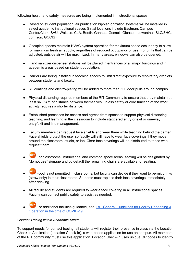following health and safety measures are being implemented in instructional spaces:

- Based on student population, air purification bipolar ionization systems will be installed in select academic instructional spaces (initial locations include Eastman, Campus Center/Clark, SAU, Wallace, CLA, Booth, Gannett, Gosnell, Gleason, Lowenthal, SLC/SHC, Johnson, GCCIS).
- Occupied spaces maintain HVAC system operation for maximum space occupancy to allow for maximum fresh air supply, regardless of reduced occupancy or use. For units that can be adjusted, outside air will be maximized. In many areas, windows can also be opened.
- Hand sanitizer dispenser stations will be placed in entrances of all major buildings and in academic areas based on student population.
- Barriers are being installed in teaching spaces to limit direct exposure to respiratory droplets between students and faculty.
- 3D coatings and electro-plating will be added to more than 600 door pulls around campus.
- Physical distancing requires members of the RIT Community to ensure that they maintain at least six (6) ft. of distance between themselves, unless safety or core function of the work activity requires a shorter distance.
- Established processes for access and egress from spaces to support physical distancing, teaching, and learning in the classroom to include staggered entry or exit or one-way entry/exit and line management.
- Faculty members can request face shields and wear them while teaching behind the barrier. Face shields protect the user so faculty will still have to wear face coverings if they move around the classroom, studio, or lab. Clear face coverings will be distributed to those who request them.
- For classrooms, instructional and common space areas, seating will be designated by "do not use" signage and by default the remaining chairs are available for seating.
- Food is not permitted in classrooms, but faculty can decide if they want to permit drinks (straw only) in their classrooms. Students must replace their face coverings immediately after drinking.
- All faculty and students are required to wear a face covering in all instructional spaces. Faculty can contact public safety to assist as needed.
- For additional facilities guidance, see: RIT General Guidelines for Facility [Reopening](https://www.rit.edu/ready/sites/rit.edu.ready/files/docs/RIT-General-Guidelines-for-Facility-Reopening-v20.pdf) & Operation in the time of [COVID-19.](https://www.rit.edu/ready/sites/rit.edu.ready/files/docs/RIT-General-Guidelines-for-Facility-Reopening-v20.pdf)

#### *Contact Tracing within Academic Affairs*

To support needs for contact tracing, all students will register their presence in class via the Location Check-In Application (Location Check-In), a web-based application for use on campus. All members of the RIT community must use this application. Location Check-In uses unique QR codes to identify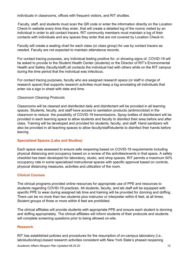individuals in classrooms, offices with frequent visitors, and RIT shuttles.

Faculty, staff, and students must scan the QR code or enter the information directly on the Location Check-In website every time they enter, that will create a detailed log of the rooms visited by an individual in order to aid contact tracers. RIT community members must maintain a log of their contacts with individuals and any spaces they enter that are not covered by Location Check-In.

Faculty will create a seating chart for each class (or class group) for use by contact tracers as needed. Faculty are not expected to maintain attendance records.

For contact tracing purposes, any individual testing positive for, or showing signs of, COVID-19 will be asked to provide to the Student Health Center (students) or the Director of RIT's Environmental Health and Safety (faculty/staff) all contacts the individual had with others while on the RIT campus during the time period that the individual was infectious.

For contact tracing purposes, faculty who are assigned research space (or staff in charge of research space) that supports research activities must keep a log annotating all individuals that enter via a sign in sheet with date and time.

#### *Classroom Cleaning Protocols*

Classrooms will be cleaned and disinfected daily and disinfectant will be provided in all learning spaces. Students, faculty, and staff have access to sanitation products (antimicrobial) in the classroom to reduce the possibility of COVID-19 transmissions. Spray bottles of disinfectant will be provided in each learning space to allow students and faculty to disinfect their area before and after class. Training will be developed and provided for students, faculty, and staff. Hand sanitizers will also be provided in all teaching spaces to allow faculty/staff/students to disinfect their hands before leaving.

#### <span id="page-11-0"></span>**Specialized Spaces (Labs and Studios)**

Each space was assessed to ensure safe reopening based on COVID-19 requirements including physical distancing and occupancy based on a review of the activities/events in that space. A safety checklist has been developed for laboratory, studio, and shop spaces. RIT permits a maximum 50% occupancy rate in some specialized instructional spaces with specific approval based on controls, physical distancing measures, activities and utilization of the room.

#### <span id="page-11-1"></span>**Clinical Courses**

The clinical programs provided online resources for appropriate use of PPE and resources to students regarding COVID-19 practices. All students, faculty, and lab staff will be equipped with specific PPE to wear during assigned lab time and training will be provided for donning and doffing. There can be no more than two students plus instructor or interpreter within 6 feet, at all times. Student groups of three or more within 6 feet are prohibited.

The clinical affiliates will provide students with appropriate PPE and ensure each student is donning and doffing appropriately. The clinical affiliates will inform students of their protocols and students will complete screening questions prior to being allowed on-site.

#### <span id="page-11-2"></span>**Research**

RIT has established policies and procedures for the resumption of on-campus laboratory (i.e., lab/studio/shop)-based research activities consistent with New York State's phased reopening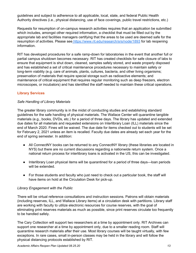guidelines and subject to adherence to all applicable, local, state, and federal Public Health Authority directives (i.e., physical distancing, use of face coverings, public travel restrictions, etc.)

Requests for resumption of on-campus research activities requires that an application be submitted which includes, amongst other required information, a checklist that must be filled out by the appropriate lab and facilities managers certifying that the areas to be used are deemed safe for the resumption of activities. Please see <https://www.rit.edu/research/srs/node/1893> for lab reopening information.

RIT has developed procedures for a safe ramp-down for laboratories in the event that another full or partial campus shutdown becomes necessary. RIT has created checklists for safe closure of labs to ensure that equipment is shut down, cleaned, samples safely stored, and waste properly disposed and has established a set of critical maintenance procedures necessary to maintain safety or long-term viability (e.g. care of animals, plants, cultures, bacteria, and other living organisms; preservation of materials that require special storage such as radioactive elements; and maintenance of critical equipment that requires regular monitoring such as deep freezers, electron microscopes, or incubators) and has identified the staff needed to maintain these critical operations.

#### <span id="page-12-0"></span>**Library Services**

#### *Safe Handling of Library Materials*

The greater library community is in the midst of conducting studies and establishing standard guidelines for the safe handling of physical materials. The Wallace Center will quarantine tangible materials (e.g., books, DVDs, etc.) for a period of three days. The library has updated and extended due dates for all materials and requested extensions on Interlibrary Loan (ILL) materials since the end of March 2020. Fines will be waived. The due date for items checked out to students will be set for February 2, 2021 unless an item is recalled. Faculty due dates are already set each year for the end of spring semester. In addition:

- All ConnectNY books can be returned to any ConnectNY library (these libraries are located in NYS) but there are no current discussions regarding a nationwide return system. Once a national return process for interlibrary loans is activated in the US, this can be investigated.
- Interlibrary Loan physical items will be quarantined for a period of three days—loan periods will be extended.
- For those students and faculty who just need to check out a particular book, the staff will have items on hold at the Circulation Desk for pick-up.

#### *Library Engagement with the Public*

There will be virtual reference consultations and instruction sessions. Patrons will obtain materials (including reserves, ILL, and Wallace Library items) at a circulation desk with partitions. Library staff are working with faculty to utilize electronic resources for course reserves, with the goal of eliminating print reserves materials as much as possible, since print reserves circulate too frequently to be handled safely.

The Cary Collection will support two researchers at a time by appointment only. RIT Archives can support one researcher at a time by appointment only, due to a smaller reading room. Staff will quarantine research materials after their use. Most library courses will be taught virtually, with few exceptions. In rare cases, small in-person classes may be held in the library and will follow the physical distancing protocols established by RIT.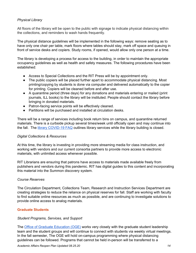#### *Physical Library*

All floors of the library will be open to the public with signage to indicate physical distancing within the collections, and reminders to wash hands frequently.

The physical distance guidelines will be implemented in the following ways: remove seating as to have only one chair per table, mark floors where tables should stay, mark off space and queuing in front of service desks and copiers. Study rooms, if opened, would allow only one person at a time.

The library is developing a process for access to the building, in order to maintain the appropriate occupancy guidelines as well as health and safety measures. The following procedures have been established:

- Access to Special Collections and the RIT Press will be by appointment only.
- The public copiers will be placed further apart to accommodate physical distancing. Most printing/copying by students is done via computer and delivered automatically to the copier for printing. Copiers will be cleaned before and after use.
- A quarantine period (three days) for any donations and materials entering or mailed (print journals, ILL books) to the library will be instituted. People should contact the library before bringing in donated materials.
- Patron-facing service points will be effectively cleaned.
- Partitions will be purchased and installed at circulation desks.

There will be a range of services including book return bins on campus, and quarantine returned materials. There is a curbside pickup several times/week until officially open and may continue into the fall. The library [COVID-19](http://library.rit.edu/coronavirus) FAQ outlines library services while the library building is closed.

#### *Digital Collections & Resources*

At this time, the library is investing in providing more streaming media for class instruction, and working with vendors and our current consortia partners to provide more access to electronic materials, with unlimited access whenever possible.

RIT Librarians are ensuring that patrons have access to materials made available freely from publishers and vendors during this pandemic. RIT has digital guides to this content and incorporating this material into the Summon discovery system.

#### *Course Reserves*

The Circulation Department, Collections Team, Research and Instruction Services Department are creating strategies to reduce the reliance on physical reserves for fall. Staff are working with faculty to find suitable online resources as much as possible, and are continuing to investigate solutions to provide online access to analog materials.

#### <span id="page-13-0"></span>**Graduate Students**

#### *Student Programs, Services, and Support*

The Office of Graduate [Education](https://www.rit.edu/academicaffairs/graduateeducation/) (OGE) works very closely with the graduate student leadership team and the student groups and will continue to connect with students via weekly virtual meetings. In the fall semester, The OGE will hold on-campus programming where physical distancing guidelines can be followed. Programs that cannot be held in-person will be transferred to a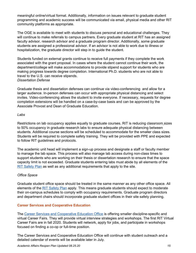meaningful online/virtual format. Additionally, information on issues relevant to graduate student programming and academic success will be communicated via email, physical media and other RIT community platforms as appropriate.

The OGE is available to meet with students to discuss personal and educational challenges. They will continue to make referrals to campus partners. Every graduate student at RIT has an assigned faculty advisor, research advisor and a graduate program director. Additionally, some graduate students are assigned a professional advisor. If an advisor is not able to work due to illness or hospitalization, the graduate director will step in to guide the student.

Students funded on external grants continue to receive full payments if they complete the work associated with the grant proposal. In cases where the student cannot continue their work, the department/college will make accommodations to provide stipend support for students who are making progress towards degree completion. International Ph.D. students who are not able to travel to the U.S. can receive stipends. *Dissertation Defense*

Graduate thesis and dissertation defenses can continue via video-conferencing and allow for a larger audience. In-person defenses can occur with appropriate physical distancing and select invites. Video-conferencing allows the student to invite everyone. If necessary, requests for degree completion extensions will be handled on a case-by-case basis and can be approved by the Associate Provost and Dean of Graduate Education.

#### *Labs*

Restrictions on lab occupancy applies equally to graduate courses. RIT is reducing classroom sizes to 50% occupancy in graduate research labs to ensure adequate physical distancing between students. Additional course sections will be scheduled to accommodate for the smaller class sizes. Students will be required to complete safety training. They will be provided with PPE and expected to follow RIT guidelines and protocols.

The academic unit head will implement a sign-up process and designate a staff or faculty member to manage the lab space. This process will also manage lab access during non-class times to support students who are working on their thesis or dissertation research to ensure that the space capacity limit is not exceeded. Graduate students entering labs must abide by all elements of the RIT [Safety](https://www.rit.edu/ready/rit-safety-plan) Plan as well as any additional requirements that apply to the site.

#### *Office Space*

Graduate student office space should be treated in the same manner as any other office space. All elements of the RIT [Safety](https://www.rit.edu/ready/rit-safety-plan) Plan apply. This means graduate students should expect to moderate their on-campus schedules to comply with occupancy requirements. Graduate program directors and department chairs should incorporate graduate student offices in their site safety planning.

#### <span id="page-14-0"></span>**Career Services and Cooperative Education**

The Career Services and [Cooperative](https://www.rit.edu/careerservices/) Education Office is offering smaller discipline-specific and virtual Career Fairs. They will provide virtual interview strategies and workshops. The first RIT Virtual Career Fairs are in fall 2020. Students will network, apply for jobs, and participate in workshops focused on finding a co-op or full-time position.

The Career Services and Cooperative Education Office will continue with student outreach and a detailed calendar of events will be available later in July.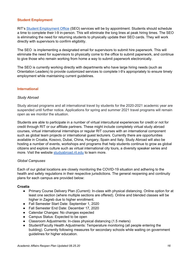#### <span id="page-15-0"></span>**Student Employment**

RIT's Student [Employment](https://www.rit.edu/careerservices/student-employment-office) Office (SEO) services will be by appointment. Students should schedule a time to complete their I-9 in-person. This will eliminate the long lines at peak hiring times. The SEO is eliminating the need for returning students to physically update their SEO cards. They will work directly with supervisors to confirm eligibility.

The SEO is implementing a designated email for supervisors to submit hire paperwork. This will eliminate the need for supervisors to physically come to the office to submit paperwork, and continue to give those who remain working from home a way to submit paperwork electronically.

The SEO is currently working directly with departments who have large hiring needs (such as Orientation Leaders) to provide customized services to complete I-9's appropriately to ensure timely employment while maintaining current guidelines.

#### <span id="page-15-1"></span>**International**

#### *Study Abroad*

Study abroad programs and all international travel by students for the 2020-2021 academic year are suspended until further notice. Applications for spring and summer 2021 travel programs will remain open as we monitor the situation.

Students are able to participate in a number of virtual intercultural experiences for credit or not for credit through RIT or our affiliate partners. These might include completely virtual study abroad courses, virtual international internships or regular RIT courses with an international component such as global team projects or international guest lecturers. Currently there are opportunities available in Croatia, Kosovo, Dubai, China, Hungary, Spain and Italy. Study Abroad will also be hosting a number of events, workshops and programs that help students continue to grow as global citizens and explore culture such as virtual international city tours, a diversity speaker series and more. Visit the website [studyabroad.rit.edu](https://www.rit.edu/academicaffairs/global/study-abroad) to learn more.

#### *Global Campuses*

Each of our global locations are closely monitoring the COVID-19 situation and adhering to the health and safety regulations in their respective jurisdictions. The general reopening and continuity plans for each campus are provided below:

#### **Croatia**

- Primary Course Delivery Plan (Current): In-class with physical distancing. Online option for at least one section (where multiple sections are offered). Online and blended classes will be higher in Zagreb due to higher enrollment.
- Fall Semester Start Date: September 1, 2020
- Fall Semester End Date: December 17, 2020
- Calendar Changes: No changes expected
- Campus Status: Expected to be open
- Classroom Adjustments: In-class physical distancing (1.5 meters)
- Student/Faculty Health Adjustments: Temperature monitoring (all people entering the building). Currently following measures for secondary schools while waiting on government guidelines for higher education.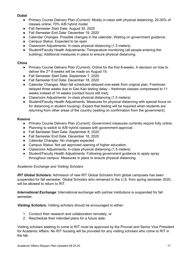#### **Dubai**

- Primary Course Delivery Plan (Current): Mostly in-class with physical distancing; 20-30% of classes online; 70% A/B hybrid model.
- Fall Semester Start Date: August 30, 2020
- Fall Semester End Date: December 19, 2020
- Calendar Changes: Possible changes in the calendar; Waiting on government guidance.
- Campus Status: Expected to be open
- Classroom Adjustments: In-class physical distancing (1.5 meters)
- Student/Faculty Health Adjustments**:** Temperature monitoring (all people entering the building); Additional measures in place to ensure physical distancing.

#### **China**

- Primary Course Delivery Plan (Current): Online for the first 8-weeks. A decision on how to deliver the  $2<sup>nd</sup>$  8-weeks will be made on August 15.
- Fall Semester Start Date: September 7, 2020
- Fall Semester End Date: December 18, 2020
- Calendar Changes: Main fall scheduled delayed one-week from original plan. Freshman delayed three weeks due to Gao Kao testing delay – freshman classes compressed to 11 weeks instead of 14 weeks (contact hours still met).
- Classroom Adjustments: In-class physical distancing (1.5 meters)
- Student/Faculty Health Adjustments: Measures for physical distancing with special focus on for distancing in student housing). Expect that testing will be required when students are returning from other areas of the country (waiting on confirmation from the government).

#### **Kosovo**

- Primary Course Delivery Plan (Current): Government measures currently require fully online.
- Planning to switch to A/B hybrid classes with government approval.
- Fall Semester Start Date: September 8, 2020
- Fall Semester End Date: December 18, 2020
- Calendar Changes: No changes expected
- Campus Status: Not yet approved opening of higher education.
- Classroom Adjustments: In-class physical distancing (1.5 meters)
- Student/Faculty Health Adjustments: Following government guidance to apply spray throughout campus. Measures in place to ensure physical distancing.

#### *Academic Exchange and Visiting Scholars*

*RIT Global Scholars***:** Admission of new RIT Global Scholars from global campuses has been suspended for fall semester. Global Scholars who remained in the U.S. from spring semester 2020, will be allowed to return to RIT.

*International Exchange*: International exchange with partner institutions is suspended for fall semester.

*Visiting Scholars:* Visiting scholars should be encouraged to either:

- 1. Conduct their research and collaboration remotely; or
- 2. Reschedule their intended plans for a future date.

Visiting scholars seeking to come to RIT must be approved by the Provost and Senior Vice President for Academic Affairs. No RIT housing will be provided for any visiting scholars who come to RIT in the fall.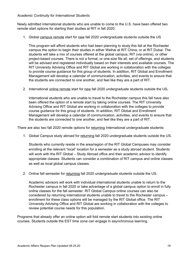#### *Academic Continuity for International Students*

Newly admitted international students who are unable to come to the U.S. have been offered two remote start options for starting their studies at RIT in fall 2020:

1. Global campus remote start for new fall 2020 undergraduate students outside the US

This program will afford students who had been planning to study this fall at the Rochester campus the option to begin their studies in either Weihai at RIT China, or at RIT Dubai. The students will take a mix of courses offered at the global campus, RIT (via online), or other project-based courses. There is not a formal, or one-size fits all, set of offerings, and students will be advised and registered individually based on their interests and available courses. The RIT University Advising Office and RIT Global are working in collaboration with the colleges to provide course guidance for this group of students. In addition, RIT Global and Enrollment Management will develop a calendar of communication, activities, and events to ensure that the students are connected to one another, and feel like they are a part of RIT.

2. International online remote start for new fall 2020 undergraduate students outside the US**.**

International students who are unable to travel to the Rochester campus this fall have also been offered the option of a remote start by taking online courses. The RIT University Advising Office and RIT Global are working in collaboration with the colleges to provide course guidance for this group of students. In addition, RIT Global and Enrollment Management will develop a calendar of communication, activities, and events to ensure that the students are connected to one another, and feel like they are a part of RIT.

There are also two fall 2020 remote options for returning International undergraduate students:

1. Global Campus study abroad for returning fall 2020 undergraduate students outside the US.

Students who currently reside in the area/region of the RIT Global Campuses may consider enrolling at the relevant "local" location for a semester as a study abroad student. Students will work with the RIT Global – Study Abroad office and their academic advisor to identify appropriate classes. Students can consider a combination of RIT campus and online classes as well as local global campus classes.

2. Online fall semester for returning fall 2020 undergraduate students outside the US.

Academic advisors will work with individual international students unable to return to the Rochester campus in fall 2020 or take advantage of a global campus option to enroll in fully online classes for the fall semester. RIT Global Campus online courses can also be considered by returning international students unable to travel to the Rochester campus – enrollment for these class options will be managed by the RIT Global office. The RIT University Advising Office and RIT Global are working in collaboration with the colleges to review potential course needs for this population.

Programs that already offer an online option will fold remote start students into existing online courses. Students outside the EST time zone can engage in asynchronous learning.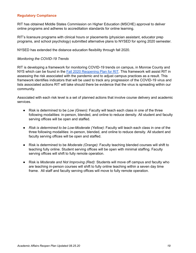#### <span id="page-18-0"></span>**Regulatory Compliance**

RIT has obtained Middle States Commission on Higher Education (MSCHE) approval to deliver online programs and adheres to accreditation standards for online learning.

RIT's licensure programs with clinical hours or placements (physician assistant, educator prep programs, and school psychology) submitted alternative plans to NYSED for spring 2020 semester.

NYSED has extended the distance education flexibility through fall 2020.

#### *Monitoring the COVID-19 Trends*

RIT is developing a framework for monitoring COVID-19 trends on campus, in Monroe County and NYS which can be found in the Fall 2020 [Reopening](https://www.rit.edu/ready/sites/rit.edu.ready/files/docs/RIT-Fall-2020-reopening-plan-072120.pdf) Plan for RIT. This framework will assist RIT in assessing the risk associated with the pandemic and to adjust campus practices as a result. This framework identifies indicators that will be used to track any progression of the COVID-19 virus and lists associated actions RIT will take should there be evidence that the virus is spreading within our community.

Associated with each risk level is a set of planned actions that involve course delivery and academic services.

- Risk is determined to be *Low (Green):* Faculty will teach each class in one of the three following modalities: in-person, blended, and online to reduce density. All student and faculty serving offices will be open and staffed.
- *Risk is determined to be Low-Moderate (Yellow)*: Faculty will teach each class in one of the three following modalities: in-person, blended, and online to reduce density. All student and faculty serving offices will be open and staffed.
- Risk is determined to be *Moderate (Orange)*: Faculty teaching blended courses will shift to teaching fully online. Student serving offices will be open with minimal staffing. Faculty serving offices will shift to fully remote operation.
- Risk is *Moderate and Not Improving (Red)*: Students will move off campus and faculty who are teaching in-person courses will shift to fully online teaching within a seven day time frame. All staff and faculty serving offices will move to fully remote operation.